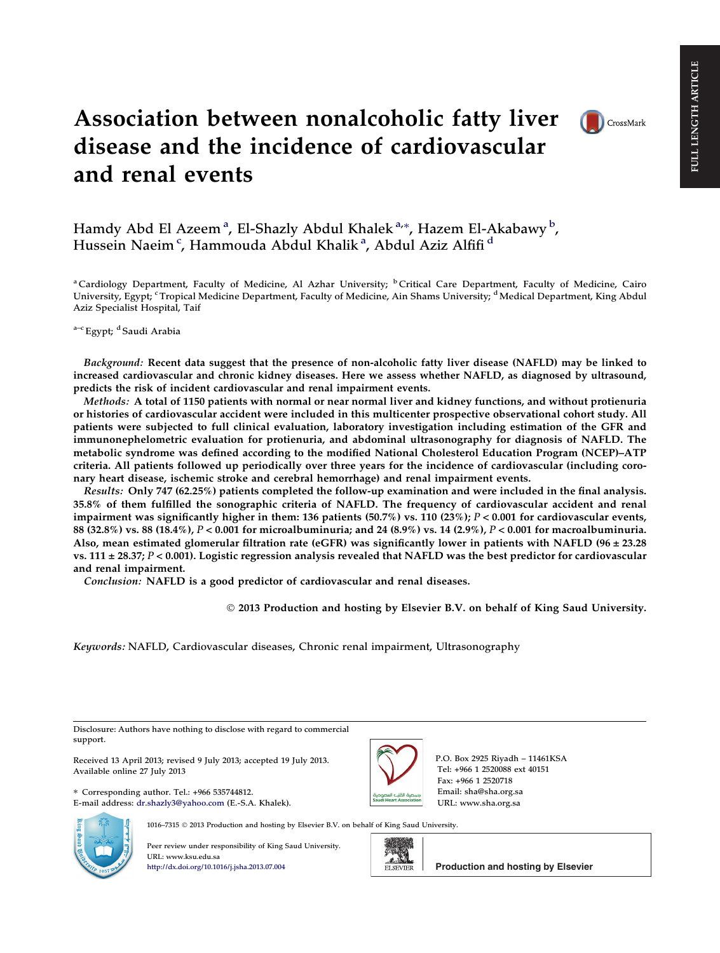# Association between nonalcoholic fatty liver disease and the incidence of cardiovascular and renal events



Hamdy Abd El Azeemª, El-Shazly Abdul Khalekª\*, Hazem El-Akabawyʰ, Hussein Naeim<sup>c</sup>, Hammouda Abdul Khalikª, Abdul Aziz Alfifi<sup>d</sup>

<sup>a</sup> Cardiology Department, Faculty of Medicine, Al Azhar University; <sup>b</sup> Critical Care Department, Faculty of Medicine, Cairo University, Egypt; <sup>c</sup> Tropical Medicine Department, Faculty of Medicine, Ain Shams University; <sup>d</sup> Medical Department, King Abdul Aziz Specialist Hospital, Taif

a-c Egypt; <sup>d</sup> Saudi Arabia

Background: Recent data suggest that the presence of non-alcoholic fatty liver disease (NAFLD) may be linked to increased cardiovascular and chronic kidney diseases. Here we assess whether NAFLD, as diagnosed by ultrasound, predicts the risk of incident cardiovascular and renal impairment events.

Methods: A total of 1150 patients with normal or near normal liver and kidney functions, and without protienuria or histories of cardiovascular accident were included in this multicenter prospective observational cohort study. All patients were subjected to full clinical evaluation, laboratory investigation including estimation of the GFR and immunonephelometric evaluation for protienuria, and abdominal ultrasonography for diagnosis of NAFLD. The metabolic syndrome was defined according to the modified National Cholesterol Education Program (NCEP)–ATP criteria. All patients followed up periodically over three years for the incidence of cardiovascular (including coronary heart disease, ischemic stroke and cerebral hemorrhage) and renal impairment events.

Results: Only 747 (62.25%) patients completed the follow-up examination and were included in the final analysis. 35.8% of them fulfilled the sonographic criteria of NAFLD. The frequency of cardiovascular accident and renal impairment was significantly higher in them: 136 patients (50.7%) vs. 110 (23%);  $P < 0.001$  for cardiovascular events, 88 (32.8%) vs. 88 (18.4%), P < 0.001 for microalbuminuria; and 24 (8.9%) vs. 14 (2.9%), P < 0.001 for macroalbuminuria. Also, mean estimated glomerular filtration rate (eGFR) was significantly lower in patients with NAFLD (96  $\pm$  23.28 vs. 111  $\pm$  28.37; P < 0.001). Logistic regression analysis revealed that NAFLD was the best predictor for cardiovascular and renal impairment.

Conclusion: NAFLD is a good predictor of cardiovascular and renal diseases.

- 2013 Production and hosting by Elsevier B.V. on behalf of King Saud University.

Keywords: NAFLD, Cardiovascular diseases, Chronic renal impairment, Ultrasonography

Disclosure: Authors have nothing to disclose with regard to commercial support.

Received 13 April 2013; revised 9 July 2013; accepted 19 July 2013. Available online 27 July 2013

⇑ Corresponding author. Tel.: +966 535744812. E-mail address: [dr.shazly3@yahoo.com](mailto:dr.shazly3@yahoo.com) (E.-S.A. Khalek).



P.O. Box 2925 Riyadh – 11461KSA Tel: +966 1 2520088 ext 40151 Fax: +966 1 2520718 Email: sha@sha.org.sa URL: www.sha.org.sa



1016–7315 © 2013 Production and hosting by Elsevier B.V. on behalf of King Saud University.

Peer review under responsibility of King Saud University. URL: www.ksu.edu.sa <http://dx.doi.org/10.1016/j.jsha.2013.07.004>



**Production and hosting by Elsevier**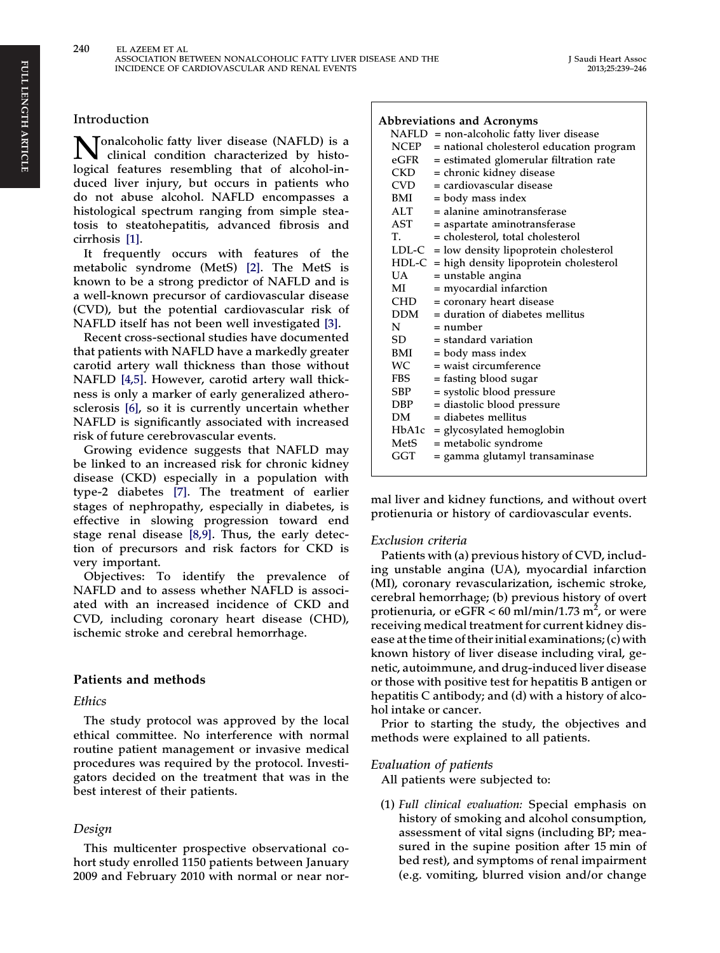#### Introduction

Tonalcoholic fatty liver disease (NAFLD) is a clinical condition characterized by histological features resembling that of alcohol-induced liver injury, but occurs in patients who do not abuse alcohol. NAFLD encompasses a histological spectrum ranging from simple steatosis to steatohepatitis, advanced fibrosis and cirrhosis [\[1\].](#page-7-0)

It frequently occurs with features of the metabolic syndrome (MetS) [\[2\]](#page-7-0). The MetS is known to be a strong predictor of NAFLD and is a well-known precursor of cardiovascular disease (CVD), but the potential cardiovascular risk of NAFLD itself has not been well investigated [\[3\].](#page-7-0)

Recent cross-sectional studies have documented that patients with NAFLD have a markedly greater carotid artery wall thickness than those without NAFLD [\[4,5\]](#page-7-0). However, carotid artery wall thickness is only a marker of early generalized atherosclerosis [\[6\]](#page-7-0), so it is currently uncertain whether NAFLD is significantly associated with increased risk of future cerebrovascular events.

Growing evidence suggests that NAFLD may be linked to an increased risk for chronic kidney disease (CKD) especially in a population with type-2 diabetes [\[7\]](#page-7-0). The treatment of earlier stages of nephropathy, especially in diabetes, is effective in slowing progression toward end stage renal disease [\[8,9\]](#page-7-0). Thus, the early detection of precursors and risk factors for CKD is very important.

Objectives: To identify the prevalence of NAFLD and to assess whether NAFLD is associated with an increased incidence of CKD and CVD, including coronary heart disease (CHD), ischemic stroke and cerebral hemorrhage.

# Patients and methods

#### Ethics

The study protocol was approved by the local ethical committee. No interference with normal routine patient management or invasive medical procedures was required by the protocol. Investigators decided on the treatment that was in the best interest of their patients.

# Design

This multicenter prospective observational cohort study enrolled 1150 patients between January 2009 and February 2010 with normal or near nor-

#### Abbreviations and Acronyms

|           | Notic viations and Acton yins                  |
|-----------|------------------------------------------------|
|           | $NAFLD = non-alcoholic fatty liver disease$    |
| NCEP      | = national cholesterol education program       |
| eGFR      | = estimated glomerular filtration rate         |
| CKD       | = chronic kidney disease                       |
| CVD       | = cardiovascular disease                       |
| BMI       | = body mass index                              |
| ALT       | = alanine aminotransferase                     |
| AST       | = aspartate aminotransferase                   |
| T.        | = cholesterol, total cholesterol               |
|           | $LDL-C = low density lipoprotein cholesterol$  |
|           | $HDL-C$ = high density lipoprotein cholesterol |
| <b>UA</b> | = unstable angina                              |
| MI        | = myocardial infarction                        |
| CHD       | = coronary heart disease                       |
| DDM       | = duration of diabetes mellitus                |
| N         | = number                                       |
| SD        | $=$ standard variation                         |
| BMI       | = body mass index                              |
| WC        | = waist circumference                          |
| FBS       | = fasting blood sugar                          |
| SBP       | = systolic blood pressure                      |
| DBP       | = diastolic blood pressure                     |
| DМ        | $=$ diabetes mellitus                          |
| HbA1c     | = glycosylated hemoglobin                      |
| MetS      | = metabolic syndrome                           |
| GGT       | = gamma glutamyl transaminase                  |
|           |                                                |

mal liver and kidney functions, and without overt protienuria or history of cardiovascular events.

#### Exclusion criteria

Patients with (a) previous history of CVD, including unstable angina (UA), myocardial infarction (MI), coronary revascularization, ischemic stroke, cerebral hemorrhage; (b) previous history of overt protienuria, or eGFR <  $60$  ml/min/1.73 m<sup>2</sup>, or were receiving medical treatment for current kidney disease at the time of their initial examinations; (c) with known history of liver disease including viral, genetic, autoimmune, and drug-induced liver disease or those with positive test for hepatitis B antigen or hepatitis C antibody; and (d) with a history of alcohol intake or cancer.

Prior to starting the study, the objectives and methods were explained to all patients.

#### Evaluation of patients

All patients were subjected to:

(1) Full clinical evaluation: Special emphasis on history of smoking and alcohol consumption, assessment of vital signs (including BP; measured in the supine position after 15 min of bed rest), and symptoms of renal impairment (e.g. vomiting, blurred vision and/or change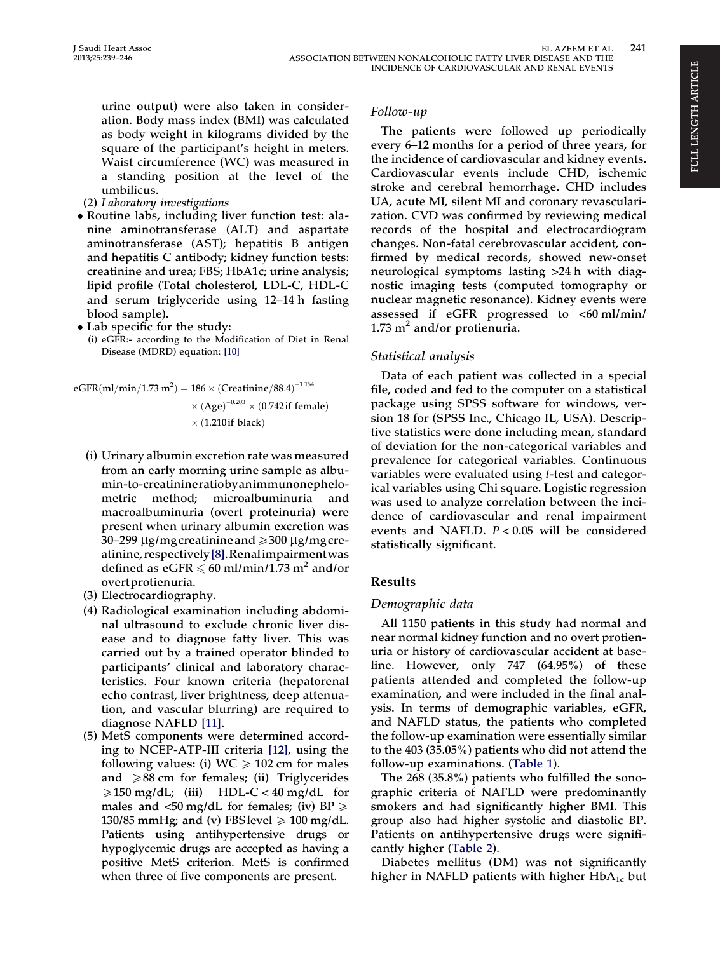urine output) were also taken in consideration. Body mass index (BMI) was calculated as body weight in kilograms divided by the square of the participant's height in meters. Waist circumference (WC) was measured in a standing position at the level of the

- umbilicus. (2) Laboratory investigations
- Routine labs, including liver function test: alanine aminotransferase (ALT) and aspartate aminotransferase (AST); hepatitis B antigen and hepatitis C antibody; kidney function tests: creatinine and urea; FBS; HbA1c; urine analysis; lipid profile (Total cholesterol, LDL-C, HDL-C and serum triglyceride using 12–14 h fasting blood sample).
- Lab specific for the study:
	- (i) eGFR:- according to the Modification of Diet in Renal Disease (MDRD) equation: [\[10\]](#page-7-0)

eGFRðml=min=1:73 m2 Þ ¼ 186 ðCreatinine=88:4Þ 1:154 ðAgeÞ 0:<sup>203</sup> ð0:742if femaleÞ ð1:210if blackÞ

- (i) Urinary albumin excretion rate was measured from an early morning urine sample as albumin-to-creatinineratiobyanimmunonephelometric method; microalbuminuria and macroalbuminuria (overt proteinuria) were present when urinary albumin excretion was 30–299  $\mu$ g/mgcreatinine and  $\geq$ 300  $\mu$ g/mgcreatinine,respectively[\[8\]](#page-7-0).Renalimpairmentwas defined as eGFR  $\leq 60$  ml/min/1.73 m<sup>2</sup> and/or overtprotienuria.
- (3) Electrocardiography.
- (4) Radiological examination including abdominal ultrasound to exclude chronic liver disease and to diagnose fatty liver. This was carried out by a trained operator blinded to participants' clinical and laboratory characteristics. Four known criteria (hepatorenal echo contrast, liver brightness, deep attenuation, and vascular blurring) are required to diagnose NAFLD [\[11\]](#page-7-0).
- (5) MetS components were determined according to NCEP-ATP-III criteria [\[12\]](#page-7-0), using the following values: (i)  $WC \ge 102$  cm for males and  $\geq 88$  cm for females; (ii) Triglycerides  $\geq 150$  mg/dL; (iii) HDL-C < 40 mg/dL for males and  $\langle 50 \text{ mg/dL}$  for females; (iv) BP  $\geq$ 130/85 mmHg; and (v) FBS level  $\geq 100$  mg/dL. Patients using antihypertensive drugs or hypoglycemic drugs are accepted as having a positive MetS criterion. MetS is confirmed when three of five components are present.

#### Follow-up

The patients were followed up periodically every 6–12 months for a period of three years, for the incidence of cardiovascular and kidney events. Cardiovascular events include CHD, ischemic stroke and cerebral hemorrhage. CHD includes UA, acute MI, silent MI and coronary revascularization. CVD was confirmed by reviewing medical records of the hospital and electrocardiogram changes. Non-fatal cerebrovascular accident, confirmed by medical records, showed new-onset neurological symptoms lasting >24 h with diagnostic imaging tests (computed tomography or nuclear magnetic resonance). Kidney events were assessed if eGFR progressed to <60 ml/min/ 1.73  $m^2$  and/or protienuria.

#### Statistical analysis

Data of each patient was collected in a special file, coded and fed to the computer on a statistical package using SPSS software for windows, version 18 for (SPSS Inc., Chicago IL, USA). Descriptive statistics were done including mean, standard of deviation for the non-categorical variables and prevalence for categorical variables. Continuous variables were evaluated using t-test and categorical variables using Chi square. Logistic regression was used to analyze correlation between the incidence of cardiovascular and renal impairment events and NAFLD.  $P < 0.05$  will be considered statistically significant.

# Results

#### Demographic data

All 1150 patients in this study had normal and near normal kidney function and no overt protienuria or history of cardiovascular accident at baseline. However, only 747 (64.95%) of these patients attended and completed the follow-up examination, and were included in the final analysis. In terms of demographic variables, eGFR, and NAFLD status, the patients who completed the follow-up examination were essentially similar to the 403 (35.05%) patients who did not attend the follow-up examinations. ([Table 1](#page-3-0)).

The 268 (35.8%) patients who fulfilled the sonographic criteria of NAFLD were predominantly smokers and had significantly higher BMI. This group also had higher systolic and diastolic BP. Patients on antihypertensive drugs were significantly higher [\(Table 2\)](#page-3-0).

Diabetes mellitus (DM) was not significantly higher in NAFLD patients with higher  $HbA_{1c}$  but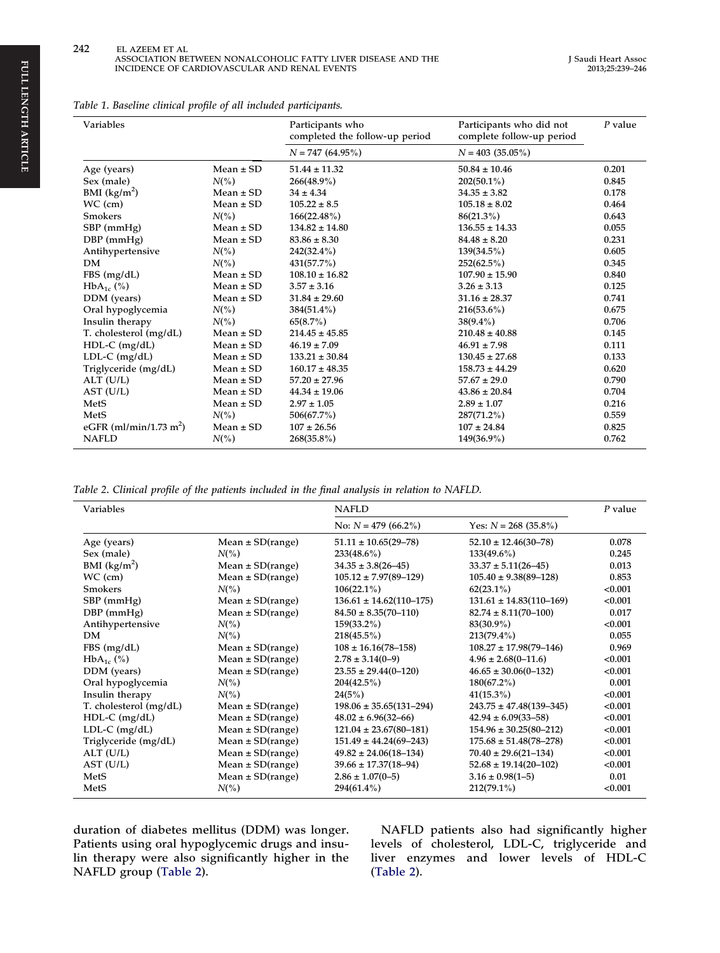<span id="page-3-0"></span>

|  |  |  |  |  |  |  | Table 1. Baseline clinical profile of all included participants. |
|--|--|--|--|--|--|--|------------------------------------------------------------------|
|--|--|--|--|--|--|--|------------------------------------------------------------------|

| Variables                          |               | Participants who<br>completed the follow-up period | Participants who did not<br>complete follow-up period | $P$ value |
|------------------------------------|---------------|----------------------------------------------------|-------------------------------------------------------|-----------|
|                                    |               | $N = 747(64.95\%)$                                 | $N = 403$ (35.05%)                                    |           |
| Age (years)                        | Mean $\pm$ SD | $51.44 \pm 11.32$                                  | $50.84 \pm 10.46$                                     | 0.201     |
| Sex (male)                         | $N(\% )$      | $266(48.9\%)$                                      | $202(50.1\%)$                                         | 0.845     |
| BMI $(kg/m^2)$                     | $Mean \pm SD$ | $34 \pm 4.34$                                      | $34.35 \pm 3.82$                                      | 0.178     |
| $WC$ (cm)                          | $Mean \pm SD$ | $105.22 \pm 8.5$                                   | $105.18 \pm 8.02$                                     | 0.464     |
| <b>Smokers</b>                     | $N(\%)$       | $166(22.48\%)$                                     | $86(21.3\%)$                                          | 0.643     |
| SBP (mmHg)                         | $Mean \pm SD$ | $134.82 \pm 14.80$                                 | $136.55 \pm 14.33$                                    | 0.055     |
| $DBP$ (mmHg)                       | $Mean \pm SD$ | $83.86 \pm 8.30$                                   | $84.48 \pm 8.20$                                      | 0.231     |
| Antihypertensive                   | $N(\%)$       | $242(32.4\%)$                                      | $139(34.5\%)$                                         | 0.605     |
| DM.                                | $N(\%)$       | 431(57.7%)                                         | $252(62.5\%)$                                         | 0.345     |
| FBS (mg/dL)                        | $Mean \pm SD$ | $108.10 \pm 16.82$                                 | $107.90 \pm 15.90$                                    | 0.840     |
| $HbA_{1c}$ (%)                     | $Mean \pm SD$ | $3.57 \pm 3.16$                                    | $3.26 \pm 3.13$                                       | 0.125     |
| DDM (years)                        | $Mean \pm SD$ | $31.84 \pm 29.60$                                  | $31.16 \pm 28.37$                                     | 0.741     |
| Oral hypoglycemia                  | $N(\% )$      | $384(51.4\%)$                                      | $216(53.6\%)$                                         | 0.675     |
| Insulin therapy                    | $N(\%)$       | 65(8.7%)                                           | $38(9.4\%)$                                           | 0.706     |
| T. cholesterol (mg/dL)             | $Mean \pm SD$ | $214.45 \pm 45.85$                                 | $210.48 \pm 40.88$                                    | 0.145     |
| $HDL-C$ (mg/dL)                    | $Mean \pm SD$ | $46.19 \pm 7.09$                                   | $46.91 \pm 7.98$                                      | 0.111     |
| $LDL-C$ (mg/dL)                    | $Mean \pm SD$ | $133.21 \pm 30.84$                                 | $130.45 \pm 27.68$                                    | 0.133     |
| Triglyceride (mg/dL)               | $Mean \pm SD$ | $160.17 \pm 48.35$                                 | $158.73 \pm 44.29$                                    | 0.620     |
| $ALT$ (U/L)                        | $Mean \pm SD$ | $57.20 \pm 27.96$                                  | $57.67 \pm 29.0$                                      | 0.790     |
| AST (U/L)                          | $Mean \pm SD$ | $44.34 \pm 19.06$                                  | $43.86 \pm 20.84$                                     | 0.704     |
| MetS                               | $Mean \pm SD$ | $2.97 \pm 1.05$                                    | $2.89 \pm 1.07$                                       | 0.216     |
| MetS                               | $N(\% )$      | 506(67.7%)                                         | $287(71.2\%)$                                         | 0.559     |
| eGFR (ml/min/1.73 m <sup>2</sup> ) | $Mean \pm SD$ | $107 \pm 26.56$                                    | $107 \pm 24.84$                                       | 0.825     |
| <b>NAFLD</b>                       | $N(\%)$       | $268(35.8\%)$                                      | 149(36.9%)                                            | 0.762     |

Table 2. Clinical profile of the patients included in the final analysis in relation to NAFLD.

| Variables              |                      | <b>NAFLD</b>                  | P value                       |         |
|------------------------|----------------------|-------------------------------|-------------------------------|---------|
|                        |                      | No: $N = 479(66.2\%)$         | Yes: $N = 268$ (35.8%)        |         |
| Age (years)            | Mean $\pm$ SD(range) | $51.11 \pm 10.65(29 - 78)$    | $52.10 \pm 12.46(30 - 78)$    | 0.078   |
| Sex (male)             | $N(\% )$             | $233(48.6\%)$                 | $133(49.6\%)$                 | 0.245   |
| BMI $(kg/m2)$          | Mean $\pm$ SD(range) | $34.35 \pm 3.8(26 - 45)$      | $33.37 \pm 5.11(26 - 45)$     | 0.013   |
| $WC$ (cm)              | Mean $\pm$ SD(range) | $105.12 \pm 7.97(89 - 129)$   | $105.40 \pm 9.38(89 - 128)$   | 0.853   |
| <b>Smokers</b>         | $N(\% )$             | $106(22.1\%)$                 | $62(23.1\%)$                  | < 0.001 |
| $SBP$ (mmHg)           | Mean $\pm$ SD(range) | $136.61 \pm 14.62(110-175)$   | $131.61 \pm 14.83(110-169)$   | < 0.001 |
| $DBP$ (mmHg)           | Mean $\pm$ SD(range) | $84.50 \pm 8.35(70 - 110)$    | $82.74 \pm 8.11(70 - 100)$    | 0.017   |
| Antihypertensive       | $N(\%)$              | $159(33.2\%)$                 | $83(30.9\%)$                  | < 0.001 |
| DM.                    | $N(\%)$              | 218(45.5%)                    | $213(79.4\%)$                 | 0.055   |
| FBS (mg/dL)            | Mean $\pm$ SD(range) | $108 \pm 16.16(78 - 158)$     | $108.27 \pm 17.98(79 - 146)$  | 0.969   |
| $HbA_{1c}$ (%)         | Mean $\pm$ SD(range) | $2.78 \pm 3.14(0-9)$          | $4.96 \pm 2.68(0 - 11.6)$     | < 0.001 |
| DDM (years)            | Mean $\pm$ SD(range) | $23.55 \pm 29.44(0 - 120)$    | $46.65 \pm 30.06(0-132)$      | < 0.001 |
| Oral hypoglycemia      | $N(\% )$             | 204(42.5%)                    | $180(67.2\%)$                 | 0.001   |
| Insulin therapy        | $N(\% )$             | 24(5%)                        | $41(15.3\%)$                  | < 0.001 |
| T. cholesterol (mg/dL) | Mean $\pm$ SD(range) | $198.06 \pm 35.65(131 - 294)$ | $243.75 \pm 47.48(139 - 345)$ | < 0.001 |
| $HDL-C$ (mg/dL)        | Mean $\pm$ SD(range) | $48.02 \pm 6.96(32 - 66)$     | $42.94 \pm 6.09(33 - 58)$     | < 0.001 |
| $LDL-C$ (mg/dL)        | Mean $\pm$ SD(range) | $121.04 \pm 23.67(80 - 181)$  | $154.96 \pm 30.25(80 - 212)$  | < 0.001 |
| Triglyceride (mg/dL)   | Mean $\pm$ SD(range) | $151.49 \pm 44.24(69 - 243)$  | $175.68 \pm 51.48(78 - 278)$  | < 0.001 |
| ALT (U/L)              | Mean $\pm$ SD(range) | $49.82 \pm 24.06(18 - 134)$   | $70.40 \pm 29.6(21 - 134)$    | < 0.001 |
| AST (U/L)              | Mean $\pm$ SD(range) | $39.66 \pm 17.37(18-94)$      | $52.68 \pm 19.14(20 - 102)$   | < 0.001 |
| MetS                   | Mean $\pm$ SD(range) | $2.86 \pm 1.07(0 - 5)$        | $3.16 \pm 0.98(1 - 5)$        | 0.01    |
| MetS                   | $N(\% )$             | $294(61.4\%)$                 | $212(79.1\%)$                 | < 0.001 |

duration of diabetes mellitus (DDM) was longer. Patients using oral hypoglycemic drugs and insulin therapy were also significantly higher in the NAFLD group (Table 2).

NAFLD patients also had significantly higher levels of cholesterol, LDL-C, triglyceride and liver enzymes and lower levels of HDL-C (Table 2).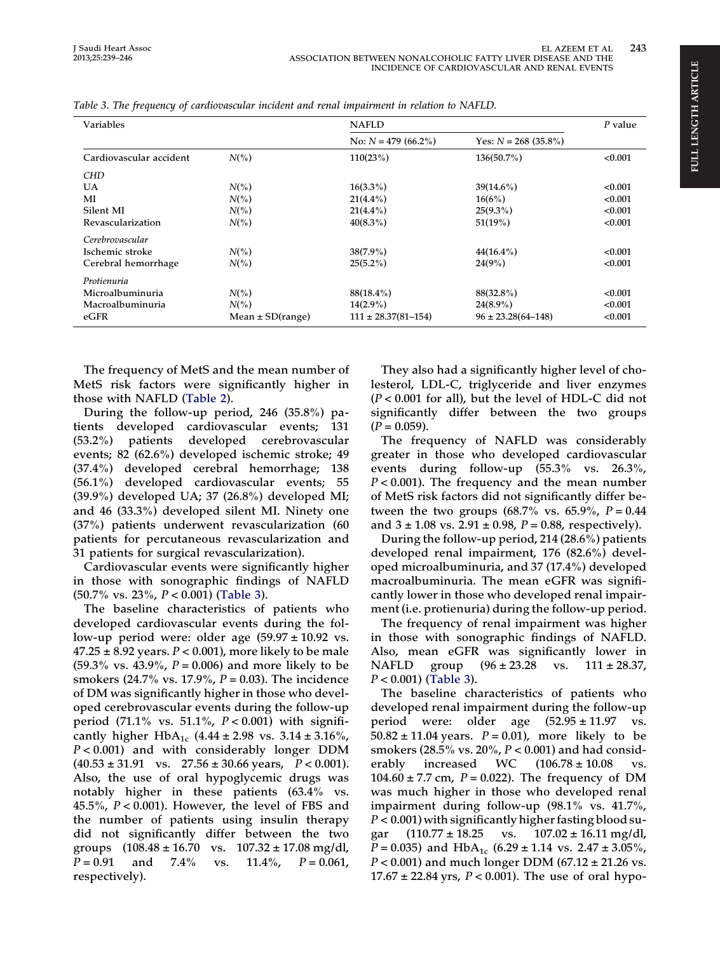#### EL AZEEM ET AL 243 ASSOCIATION BETWEEN NONALCOHOLIC FATTY LIVER DISEASE AND THE INCIDENCE OF CARDIOVASCULAR AND RENAL EVENTS

| Variables               |                      | <b>NAFLD</b>              |                          |         |
|-------------------------|----------------------|---------------------------|--------------------------|---------|
|                         |                      | No: $N = 479(66.2\%)$     | Yes: $N = 268$ (35.8%)   |         |
| Cardiovascular accident | $N(\% )$             | 110(23%)                  | $136(50.7\%)$            | < 0.001 |
| <b>CHD</b>              |                      |                           |                          |         |
| UA                      | $N(\% )$             | $16(3.3\%)$               | $39(14.6\%)$             | < 0.001 |
| MI                      | $N(\% )$             | $21(4.4\%)$               | 16(6%)                   | < 0.001 |
| Silent MI               | $N(\% )$             | $21(4.4\%)$               | $25(9.3\%)$              | < 0.001 |
| Revascularization       | $N(\% )$             | $40(8.3\%)$               | 51(19%)                  | < 0.001 |
| Cerebrovascular         |                      |                           |                          |         |
| Ischemic stroke         | $N(\% )$             | $38(7.9\%)$               | $44(16.4\%)$             | < 0.001 |
| Cerebral hemorrhage     | $N(\% )$             | $25(5.2\%)$               | $24(9\%)$                | < 0.001 |
| Protienuria             |                      |                           |                          |         |
| Microalbuminuria        | $N(\% )$             | $88(18.4\%)$              | $88(32.8\%)$             | < 0.001 |
| Macroalbuminuria        | $N(\% )$             | $14(2.9\%)$               | $24(8.9\%)$              | < 0.001 |
| eGFR                    | Mean $\pm$ SD(range) | $111 \pm 28.37(81 - 154)$ | $96 \pm 23.28(64 - 148)$ | < 0.001 |

Table 3. The frequency of cardiovascular incident and renal impairment in relation to NAFLD.

The frequency of MetS and the mean number of MetS risk factors were significantly higher in those with NAFLD [\(Table 2\)](#page-3-0).

During the follow-up period, 246 (35.8%) patients developed cardiovascular events; 131 (53.2%) patients developed cerebrovascular events; 82 (62.6%) developed ischemic stroke; 49 (37.4%) developed cerebral hemorrhage; 138 (56.1%) developed cardiovascular events; 55 (39.9%) developed UA; 37 (26.8%) developed MI; and 46 (33.3%) developed silent MI. Ninety one (37%) patients underwent revascularization (60 patients for percutaneous revascularization and 31 patients for surgical revascularization).

Cardiovascular events were significantly higher in those with sonographic findings of NAFLD (50.7% vs. 23%, P < 0.001) (Table 3).

The baseline characteristics of patients who developed cardiovascular events during the follow-up period were: older age  $(59.97 \pm 10.92 \text{ vs.})$  $47.25 \pm 8.92$  years.  $P < 0.001$ ), more likely to be male  $(59.3\% \text{ vs. } 43.9\%, P = 0.006)$  and more likely to be smokers (24.7% vs. 17.9%,  $P = 0.03$ ). The incidence of DM was significantly higher in those who developed cerebrovascular events during the follow-up period (71.1% vs. 51.1%,  $P < 0.001$ ) with significantly higher  $HbA_{1c}$  (4.44 ± 2.98 vs. 3.14 ± 3.16%, P < 0.001) and with considerably longer DDM  $(40.53 \pm 31.91 \text{ vs. } 27.56 \pm 30.66 \text{ years}, P < 0.001).$ Also, the use of oral hypoglycemic drugs was notably higher in these patients (63.4% vs. 45.5%,  $P < 0.001$ ). However, the level of FBS and the number of patients using insulin therapy did not significantly differ between the two groups  $(108.48 \pm 16.70 \text{ vs. } 107.32 \pm 17.08 \text{ mg/dl})$  $P = 0.91$  and 7.4% vs. 11.4%,  $P = 0.061$ , respectively).

They also had a significantly higher level of cholesterol, LDL-C, triglyceride and liver enzymes  $(P < 0.001$  for all), but the level of HDL-C did not significantly differ between the two groups  $(P = 0.059)$ .

The frequency of NAFLD was considerably greater in those who developed cardiovascular events during follow-up (55.3% vs. 26.3%,  $P < 0.001$ ). The frequency and the mean number of MetS risk factors did not significantly differ between the two groups  $(68.7\% \text{ vs. } 65.9\%, P = 0.44)$ and  $3 \pm 1.08$  vs.  $2.91 \pm 0.98$ ,  $P = 0.88$ , respectively).

During the follow-up period, 214 (28.6%) patients developed renal impairment, 176 (82.6%) developed microalbuminuria, and 37 (17.4%) developed macroalbuminuria. The mean eGFR was significantly lower in those who developed renal impairment (i.e. protienuria) during the follow-up period.

The frequency of renal impairment was higher in those with sonographic findings of NAFLD. Also, mean eGFR was significantly lower in NAFLD group (96 ± 23.28 vs. 111 ± 28.37,  $P < 0.001$ ) (Table 3).

The baseline characteristics of patients who developed renal impairment during the follow-up period were: older age  $(52.95 \pm 11.97 \text{ vs.}$  $50.82 \pm 11.04$  years.  $P = 0.01$ ), more likely to be smokers (28.5% vs. 20%,  $P < 0.001$ ) and had considerably increased WC  $(106.78 \pm 10.08 \text{ vs.}$ 104.60  $\pm$  7.7 cm, P = 0.022). The frequency of DM was much higher in those who developed renal impairment during follow-up (98.1% vs. 41.7%,  $P < 0.001$ ) with significantly higher fasting blood sugar  $(110.77 \pm 18.25 \text{ vs. } 107.02 \pm 16.11 \text{ mg/dl})$  $P = 0.035$ ) and HbA<sub>1c</sub> (6.29 ± 1.14 vs. 2.47 ± 3.05%,  $P < 0.001$ ) and much longer DDM (67.12 ± 21.26 vs.  $17.67 \pm 22.84$  yrs,  $P < 0.001$ ). The use of oral hypo-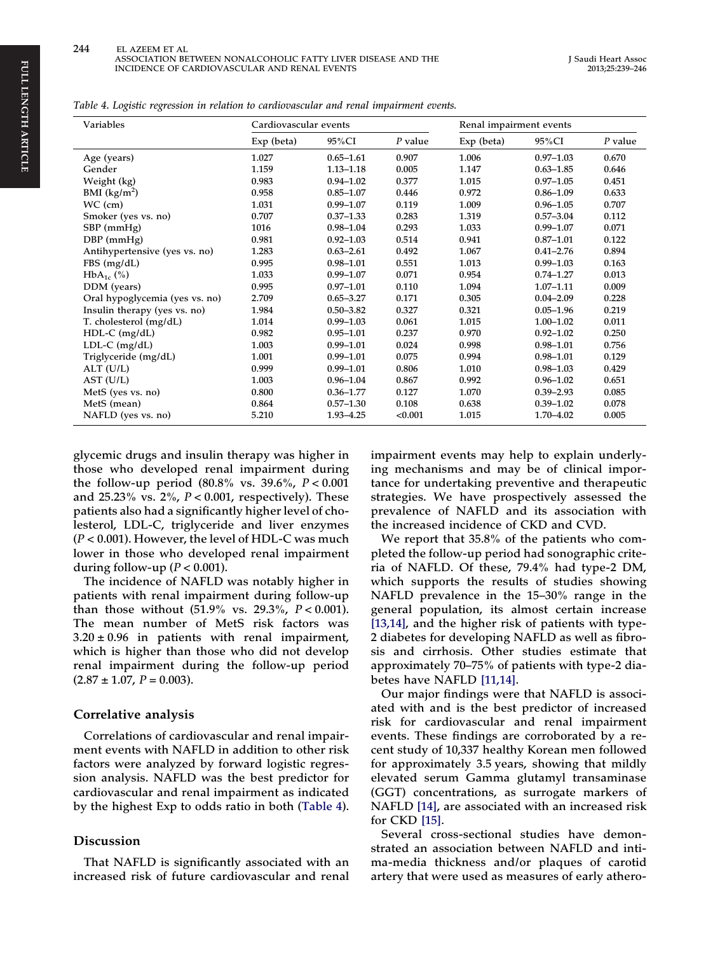Table 4. Logistic regression in relation to cardiovascular and renal impairment events.

| Variables                      | Cardiovascular events |               |           |            | Renal impairment events |           |
|--------------------------------|-----------------------|---------------|-----------|------------|-------------------------|-----------|
|                                | Exp (beta)            | 95%CI         | $P$ value | Exp (beta) | 95%CI                   | $P$ value |
| Age (years)                    | 1.027                 | $0.65 - 1.61$ | 0.907     | 1.006      | $0.97 - 1.03$           | 0.670     |
| Gender                         | 1.159                 | $1.13 - 1.18$ | 0.005     | 1.147      | $0.63 - 1.85$           | 0.646     |
| Weight (kg)                    | 0.983                 | $0.94 - 1.02$ | 0.377     | 1.015      | $0.97 - 1.05$           | 0.451     |
| BMI $(kg/m^2)$                 | 0.958                 | $0.85 - 1.07$ | 0.446     | 0.972      | $0.86 - 1.09$           | 0.633     |
| $WC$ (cm)                      | 1.031                 | $0.99 - 1.07$ | 0.119     | 1.009      | $0.96 - 1.05$           | 0.707     |
| Smoker (yes vs. no)            | 0.707                 | $0.37 - 1.33$ | 0.283     | 1.319      | $0.57 - 3.04$           | 0.112     |
| $SBP$ (mmHg)                   | 1016                  | $0.98 - 1.04$ | 0.293     | 1.033      | $0.99 - 1.07$           | 0.071     |
| DBP (mmHg)                     | 0.981                 | $0.92 - 1.03$ | 0.514     | 0.941      | $0.87 - 1.01$           | 0.122     |
| Antihypertensive (yes vs. no)  | 1.283                 | $0.63 - 2.61$ | 0.492     | 1.067      | $0.41 - 2.76$           | 0.894     |
| FBS(mg/dL)                     | 0.995                 | $0.98 - 1.01$ | 0.551     | 1.013      | $0.99 - 1.03$           | 0.163     |
| $HbA_{1c}$ (%)                 | 1.033                 | $0.99 - 1.07$ | 0.071     | 0.954      | $0.74 - 1.27$           | 0.013     |
| DDM (years)                    | 0.995                 | $0.97 - 1.01$ | 0.110     | 1.094      | $1.07 - 1.11$           | 0.009     |
| Oral hypoglycemia (yes vs. no) | 2.709                 | $0.65 - 3.27$ | 0.171     | 0.305      | $0.04 - 2.09$           | 0.228     |
| Insulin therapy (yes vs. no)   | 1.984                 | $0.50 - 3.82$ | 0.327     | 0.321      | $0.05 - 1.96$           | 0.219     |
| T. cholesterol (mg/dL)         | 1.014                 | $0.99 - 1.03$ | 0.061     | 1.015      | $1.00 - 1.02$           | 0.011     |
| $HDL-C$ (mg/dL)                | 0.982                 | $0.95 - 1.01$ | 0.237     | 0.970      | $0.92 - 1.02$           | 0.250     |
| $LDL-C$ (mg/dL)                | 1.003                 | $0.99 - 1.01$ | 0.024     | 0.998      | $0.98 - 1.01$           | 0.756     |
| Triglyceride (mg/dL)           | 1.001                 | $0.99 - 1.01$ | 0.075     | 0.994      | $0.98 - 1.01$           | 0.129     |
| $ALT$ (U/L)                    | 0.999                 | $0.99 - 1.01$ | 0.806     | 1.010      | $0.98 - 1.03$           | 0.429     |
| AST (U/L)                      | 1.003                 | $0.96 - 1.04$ | 0.867     | 0.992      | $0.96 - 1.02$           | 0.651     |
| MetS (yes vs. no)              | 0.800                 | $0.36 - 1.77$ | 0.127     | 1.070      | $0.39 - 2.93$           | 0.085     |
| MetS (mean)                    | 0.864                 | $0.57 - 1.30$ | 0.108     | 0.638      | $0.39 - 1.02$           | 0.078     |
| NAFLD (yes vs. no)             | 5.210                 | $1.93 - 4.25$ | < 0.001   | 1.015      | $1.70 - 4.02$           | 0.005     |

glycemic drugs and insulin therapy was higher in those who developed renal impairment during the follow-up period  $(80.8\% \text{ vs. } 39.6\%, P < 0.001)$ and 25.23% vs.  $2\%$ ,  $P < 0.001$ , respectively). These patients also had a significantly higher level of cholesterol, LDL-C, triglyceride and liver enzymes  $(P < 0.001)$ . However, the level of HDL-C was much lower in those who developed renal impairment during follow-up ( $P < 0.001$ ).

The incidence of NAFLD was notably higher in patients with renal impairment during follow-up than those without  $(51.9\% \text{ vs. } 29.3\%, P < 0.001).$ The mean number of MetS risk factors was  $3.20 \pm 0.96$  in patients with renal impairment, which is higher than those who did not develop renal impairment during the follow-up period  $(2.87 \pm 1.07, P = 0.003).$ 

#### Correlative analysis

Correlations of cardiovascular and renal impairment events with NAFLD in addition to other risk factors were analyzed by forward logistic regression analysis. NAFLD was the best predictor for cardiovascular and renal impairment as indicated by the highest Exp to odds ratio in both (Table 4).

#### Discussion

That NAFLD is significantly associated with an increased risk of future cardiovascular and renal

impairment events may help to explain underlying mechanisms and may be of clinical importance for undertaking preventive and therapeutic strategies. We have prospectively assessed the prevalence of NAFLD and its association with the increased incidence of CKD and CVD.

We report that 35.8% of the patients who completed the follow-up period had sonographic criteria of NAFLD. Of these, 79.4% had type-2 DM, which supports the results of studies showing NAFLD prevalence in the 15–30% range in the general population, its almost certain increase [\[13,14\]](#page-7-0), and the higher risk of patients with type-2 diabetes for developing NAFLD as well as fibrosis and cirrhosis. Other studies estimate that approximately 70–75% of patients with type-2 diabetes have NAFLD [\[11,14\].](#page-7-0)

Our major findings were that NAFLD is associated with and is the best predictor of increased risk for cardiovascular and renal impairment events. These findings are corroborated by a recent study of 10,337 healthy Korean men followed for approximately 3.5 years, showing that mildly elevated serum Gamma glutamyl transaminase (GGT) concentrations, as surrogate markers of NAFLD [\[14\],](#page-7-0) are associated with an increased risk for CKD [\[15\]](#page-7-0).

Several cross-sectional studies have demonstrated an association between NAFLD and intima-media thickness and/or plaques of carotid artery that were used as measures of early athero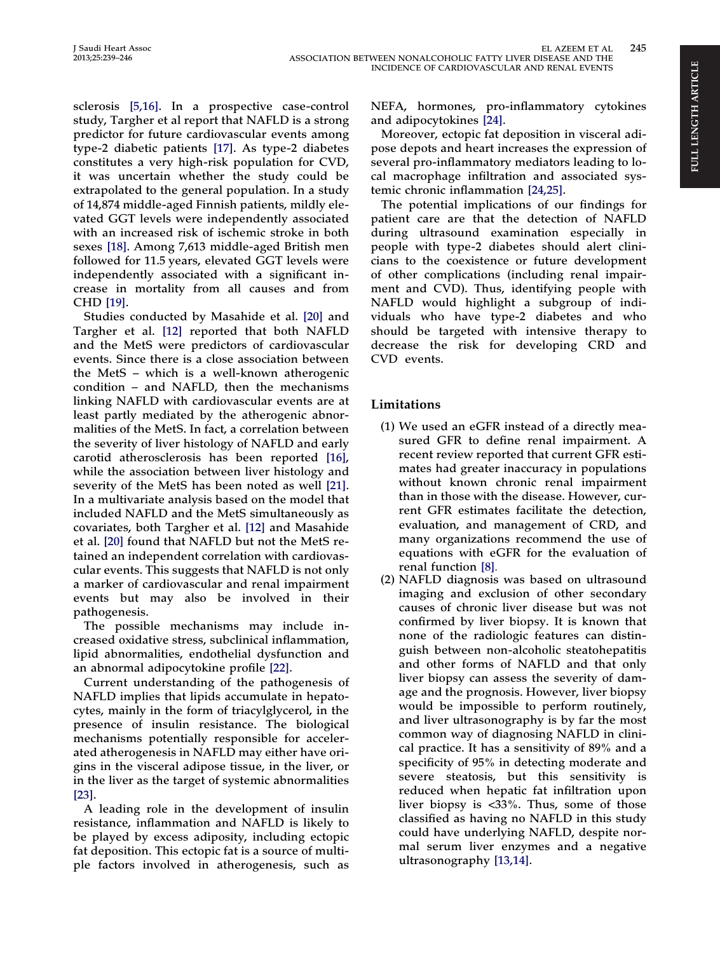sclerosis [\[5,16\].](#page-7-0) In a prospective case-control study, Targher et al report that NAFLD is a strong predictor for future cardiovascular events among type-2 diabetic patients [\[17\]](#page-7-0). As type-2 diabetes constitutes a very high-risk population for CVD, it was uncertain whether the study could be extrapolated to the general population. In a study of 14,874 middle-aged Finnish patients, mildly elevated GGT levels were independently associated with an increased risk of ischemic stroke in both sexes [\[18\].](#page-7-0) Among 7,613 middle-aged British men followed for 11.5 years, elevated GGT levels were independently associated with a significant increase in mortality from all causes and from CHD [\[19\].](#page-7-0)

Studies conducted by Masahide et al. [\[20\]](#page-7-0) and Targher et al. [\[12\]](#page-7-0) reported that both NAFLD and the MetS were predictors of cardiovascular events. Since there is a close association between the MetS – which is a well-known atherogenic condition – and NAFLD, then the mechanisms linking NAFLD with cardiovascular events are at least partly mediated by the atherogenic abnormalities of the MetS. In fact, a correlation between the severity of liver histology of NAFLD and early carotid atherosclerosis has been reported [\[16\]](#page-7-0), while the association between liver histology and severity of the MetS has been noted as well [\[21\]](#page-7-0). In a multivariate analysis based on the model that included NAFLD and the MetS simultaneously as covariates, both Targher et al. [\[12\]](#page-7-0) and Masahide et al. [\[20\]](#page-7-0) found that NAFLD but not the MetS retained an independent correlation with cardiovascular events. This suggests that NAFLD is not only a marker of cardiovascular and renal impairment events but may also be involved in their pathogenesis.

The possible mechanisms may include increased oxidative stress, subclinical inflammation, lipid abnormalities, endothelial dysfunction and an abnormal adipocytokine profile [\[22\]](#page-7-0).

Current understanding of the pathogenesis of NAFLD implies that lipids accumulate in hepatocytes, mainly in the form of triacylglycerol, in the presence of insulin resistance. The biological mechanisms potentially responsible for accelerated atherogenesis in NAFLD may either have origins in the visceral adipose tissue, in the liver, or in the liver as the target of systemic abnormalities  $[23]$ .

A leading role in the development of insulin resistance, inflammation and NAFLD is likely to be played by excess adiposity, including ectopic fat deposition. This ectopic fat is a source of multiple factors involved in atherogenesis, such as NEFA, hormones, pro-inflammatory cytokines and adipocytokines [\[24\].](#page-7-0)

Moreover, ectopic fat deposition in visceral adipose depots and heart increases the expression of several pro-inflammatory mediators leading to local macrophage infiltration and associated systemic chronic inflammation [\[24,25\].](#page-7-0)

The potential implications of our findings for patient care are that the detection of NAFLD during ultrasound examination especially in people with type-2 diabetes should alert clinicians to the coexistence or future development of other complications (including renal impairment and CVD). Thus, identifying people with NAFLD would highlight a subgroup of individuals who have type-2 diabetes and who should be targeted with intensive therapy to decrease the risk for developing CRD and CVD events.

# Limitations

- (1) We used an eGFR instead of a directly measured GFR to define renal impairment. A recent review reported that current GFR estimates had greater inaccuracy in populations without known chronic renal impairment than in those with the disease. However, current GFR estimates facilitate the detection, evaluation, and management of CRD, and many organizations recommend the use of equations with eGFR for the evaluation of renal function [\[8\].](#page-7-0)
- (2) NAFLD diagnosis was based on ultrasound imaging and exclusion of other secondary causes of chronic liver disease but was not confirmed by liver biopsy. It is known that none of the radiologic features can distinguish between non-alcoholic steatohepatitis and other forms of NAFLD and that only liver biopsy can assess the severity of damage and the prognosis. However, liver biopsy would be impossible to perform routinely, and liver ultrasonography is by far the most common way of diagnosing NAFLD in clinical practice. It has a sensitivity of 89% and a specificity of 95% in detecting moderate and severe steatosis, but this sensitivity is reduced when hepatic fat infiltration upon liver biopsy is <33%. Thus, some of those classified as having no NAFLD in this study could have underlying NAFLD, despite normal serum liver enzymes and a negative ultrasonography [\[13,14\].](#page-7-0)